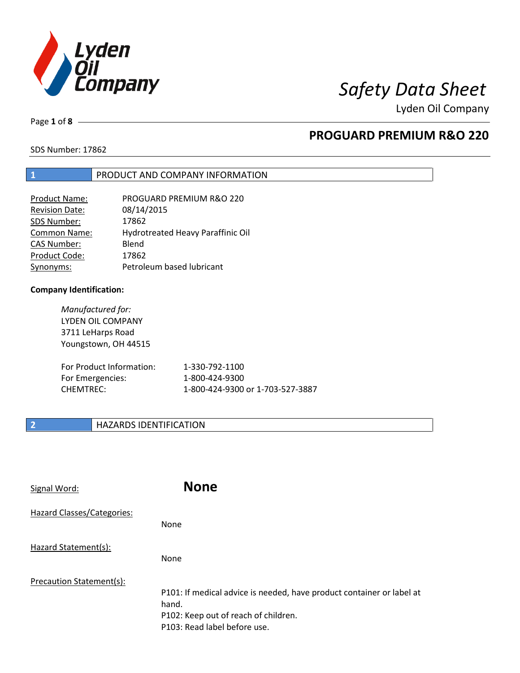

Lyden Oil Company

Page **1** of **8**

#### **PROGUARD PREMIUM R&O 220**

SDS Number: 17862

#### **1** PRODUCT AND COMPANY INFORMATION

| <b>Product Name:</b>  | PROGUARD PREMIUM R&O 220          |
|-----------------------|-----------------------------------|
| <b>Revision Date:</b> | 08/14/2015                        |
| SDS Number:           | 17862                             |
| <b>Common Name:</b>   | Hydrotreated Heavy Paraffinic Oil |
| <b>CAS Number:</b>    | Blend                             |
| Product Code:         | 17862                             |
| Synonyms:             | Petroleum based lubricant         |

#### **Company Identification:**

*Manufactured for:*  LYDEN OIL COMPANY 3711 LeHarps Road Youngstown, OH 44515

| For Product Information: | 1-330-792-1100                   |
|--------------------------|----------------------------------|
| For Emergencies:         | 1-800-424-9300                   |
| CHEMTREC:                | 1-800-424-9300 or 1-703-527-3887 |

#### **2 HAZARDS IDENTIFICATION**

| Signal Word:               | <b>None</b>                                                                                                                                            |
|----------------------------|--------------------------------------------------------------------------------------------------------------------------------------------------------|
| Hazard Classes/Categories: | <b>None</b>                                                                                                                                            |
| Hazard Statement(s):       | <b>None</b>                                                                                                                                            |
| Precaution Statement(s):   | P101: If medical advice is needed, have product container or label at<br>hand.<br>P102: Keep out of reach of children.<br>P103: Read label before use. |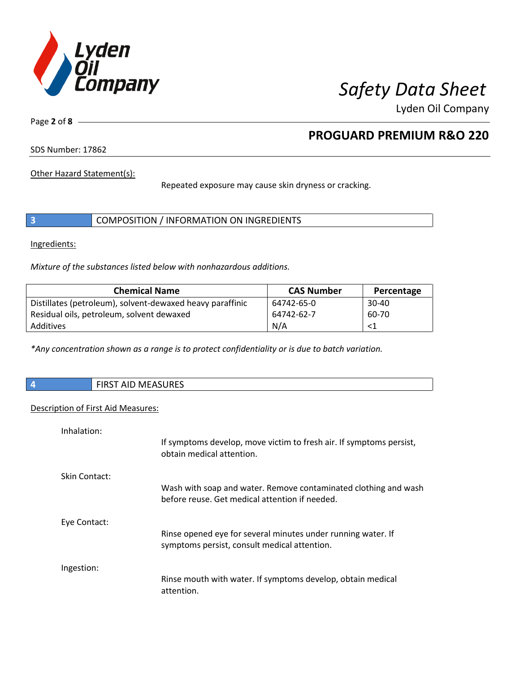

Lyden Oil Company

Page **2** of **8**

### **PROGUARD PREMIUM R&O 220**

SDS Number: 17862

Other Hazard Statement(s):

Repeated exposure may cause skin dryness or cracking.

|  | COMPOSITION / INFORMATION ON INGREDIENTS |  |
|--|------------------------------------------|--|
|--|------------------------------------------|--|

Ingredients:

*Mixture of the substances listed below with nonhazardous additions.* 

| <b>Chemical Name</b>                                      | <b>CAS Number</b> | Percentage |
|-----------------------------------------------------------|-------------------|------------|
| Distillates (petroleum), solvent-dewaxed heavy paraffinic | 64742-65-0        | $30 - 40$  |
| Residual oils, petroleum, solvent dewaxed                 | 64742-62-7        | 60-70      |
| Additives                                                 | N/A               | <1         |

*\*Any concentration shown as a range is to protect confidentiality or is due to batch variation.*

|  |  | <b>FIRST AID MEASURES</b> |
|--|--|---------------------------|
|--|--|---------------------------|

#### Description of First Aid Measures:

| Inhalation:          |                                                                                                                   |
|----------------------|-------------------------------------------------------------------------------------------------------------------|
|                      | If symptoms develop, move victim to fresh air. If symptoms persist,<br>obtain medical attention.                  |
| <b>Skin Contact:</b> |                                                                                                                   |
|                      | Wash with soap and water. Remove contaminated clothing and wash<br>before reuse. Get medical attention if needed. |
| Eye Contact:         |                                                                                                                   |
|                      | Rinse opened eye for several minutes under running water. If<br>symptoms persist, consult medical attention.      |
| Ingestion:           |                                                                                                                   |
|                      | Rinse mouth with water. If symptoms develop, obtain medical<br>attention.                                         |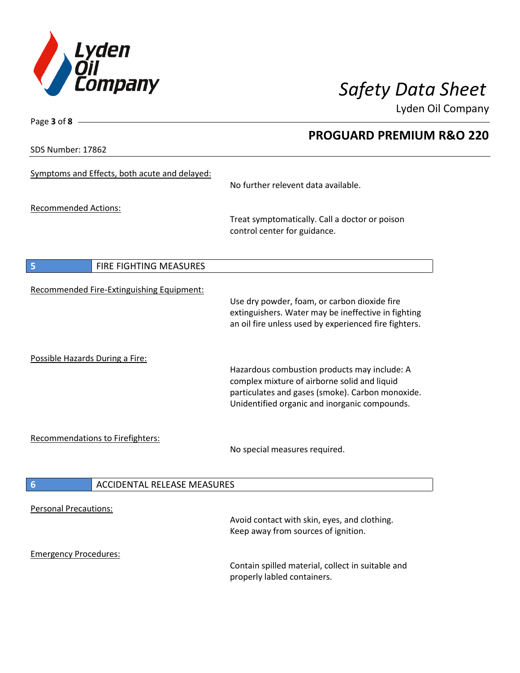

**PROGUARD PREMIUM R&O 220** 

Lyden Oil Company

SDS Number: 17862

Page **3** of **8**

| Symptoms and Effects, both acute and delayed:         | No further relevent data available.                                                                                                                                                               |
|-------------------------------------------------------|---------------------------------------------------------------------------------------------------------------------------------------------------------------------------------------------------|
| <b>Recommended Actions:</b>                           | Treat symptomatically. Call a doctor or poison<br>control center for guidance.                                                                                                                    |
| FIRE FIGHTING MEASURES<br>5                           |                                                                                                                                                                                                   |
| Recommended Fire-Extinguishing Equipment:             | Use dry powder, foam, or carbon dioxide fire<br>extinguishers. Water may be ineffective in fighting<br>an oil fire unless used by experienced fire fighters.                                      |
| Possible Hazards During a Fire:                       | Hazardous combustion products may include: A<br>complex mixture of airborne solid and liquid<br>particulates and gases (smoke). Carbon monoxide.<br>Unidentified organic and inorganic compounds. |
| Recommendations to Firefighters:                      | No special measures required.                                                                                                                                                                     |
| $6\phantom{1}6$<br><b>ACCIDENTAL RELEASE MEASURES</b> |                                                                                                                                                                                                   |
| <b>Personal Precautions:</b>                          | Avoid contact with skin, eyes, and clothing.<br>Keep away from sources of ignition.                                                                                                               |
| <b>Emergency Procedures:</b>                          | Contain spilled material, collect in suitable and<br>properly labled containers.                                                                                                                  |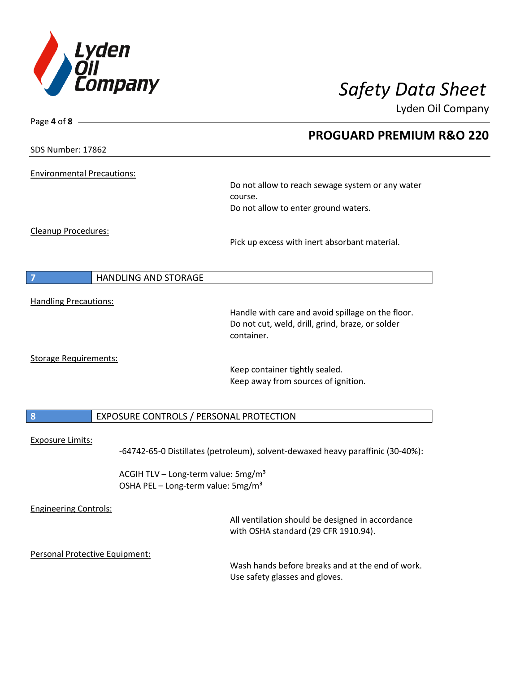

Page **4** of **8**

## *Safety Data Sheet*

Lyden Oil Company

|                                   |                                                 | <b>PROGUARD PREMIUM R&amp;O 220</b>                                                |  |
|-----------------------------------|-------------------------------------------------|------------------------------------------------------------------------------------|--|
| SDS Number: 17862                 |                                                 |                                                                                    |  |
| <b>Environmental Precautions:</b> |                                                 |                                                                                    |  |
|                                   |                                                 | Do not allow to reach sewage system or any water<br>course.                        |  |
|                                   |                                                 | Do not allow to enter ground waters.                                               |  |
| Cleanup Procedures:               |                                                 |                                                                                    |  |
|                                   |                                                 | Pick up excess with inert absorbant material.                                      |  |
|                                   |                                                 |                                                                                    |  |
|                                   | HANDLING AND STORAGE                            |                                                                                    |  |
|                                   |                                                 |                                                                                    |  |
| <b>Handling Precautions:</b>      |                                                 | Handle with care and avoid spillage on the floor.                                  |  |
|                                   |                                                 | Do not cut, weld, drill, grind, braze, or solder                                   |  |
|                                   |                                                 | container.                                                                         |  |
| <b>Storage Requirements:</b>      |                                                 |                                                                                    |  |
|                                   |                                                 | Keep container tightly sealed.<br>Keep away from sources of ignition.              |  |
|                                   |                                                 |                                                                                    |  |
| 8                                 |                                                 |                                                                                    |  |
|                                   | EXPOSURE CONTROLS / PERSONAL PROTECTION         |                                                                                    |  |
| <b>Exposure Limits:</b>           |                                                 |                                                                                    |  |
|                                   |                                                 | -64742-65-0 Distillates (petroleum), solvent-dewaxed heavy paraffinic (30-40%):    |  |
|                                   | ACGIH TLV - Long-term value: 5mg/m <sup>3</sup> |                                                                                    |  |
|                                   | OSHA PEL - Long-term value: 5mg/m <sup>3</sup>  |                                                                                    |  |
| <b>Engineering Controls:</b>      |                                                 |                                                                                    |  |
|                                   |                                                 | All ventilation should be designed in accordance                                   |  |
|                                   |                                                 | with OSHA standard (29 CFR 1910.94).                                               |  |
|                                   | Personal Protective Equipment:                  |                                                                                    |  |
|                                   |                                                 | Wash hands before breaks and at the end of work.<br>Use safety glasses and gloves. |  |
|                                   |                                                 |                                                                                    |  |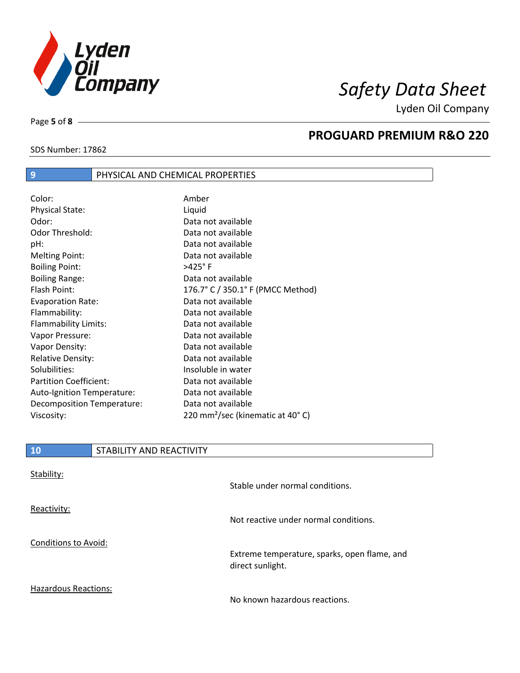

Lyden Oil Company

SDS Number: 17862

Page **5** of **8**

 $\overline{\phantom{a}}$ 

#### **PROGUARD PREMIUM R&O 220**

### **9** PHYSICAL AND CHEMICAL PROPERTIES

| Color:                        | Amber                                        |
|-------------------------------|----------------------------------------------|
| <b>Physical State:</b>        | Liquid                                       |
| Odor:                         | Data not available                           |
| Odor Threshold:               | Data not available                           |
| pH:                           | Data not available                           |
| <b>Melting Point:</b>         | Data not available                           |
| <b>Boiling Point:</b>         | $>425^\circ$ F                               |
| <b>Boiling Range:</b>         | Data not available                           |
| Flash Point:                  | 176.7° C / 350.1° F (PMCC Method)            |
| <b>Evaporation Rate:</b>      | Data not available                           |
| Flammability:                 | Data not available                           |
| Flammability Limits:          | Data not available                           |
| Vapor Pressure:               | Data not available                           |
| Vapor Density:                | Data not available                           |
| <b>Relative Density:</b>      | Data not available                           |
| Solubilities:                 | Insoluble in water                           |
| <b>Partition Coefficient:</b> | Data not available                           |
| Auto-Ignition Temperature:    | Data not available                           |
| Decomposition Temperature:    | Data not available                           |
| Viscosity:                    | 220 mm <sup>2</sup> /sec (kinematic at 40°C) |

| 10                          | STABILITY AND REACTIVITY |                                                                  |
|-----------------------------|--------------------------|------------------------------------------------------------------|
| Stability:                  |                          |                                                                  |
|                             |                          | Stable under normal conditions.                                  |
| Reactivity:                 |                          |                                                                  |
|                             |                          | Not reactive under normal conditions.                            |
| <b>Conditions to Avoid:</b> |                          |                                                                  |
|                             |                          | Extreme temperature, sparks, open flame, and<br>direct sunlight. |
| <b>Hazardous Reactions:</b> |                          |                                                                  |

No known hazardous reactions.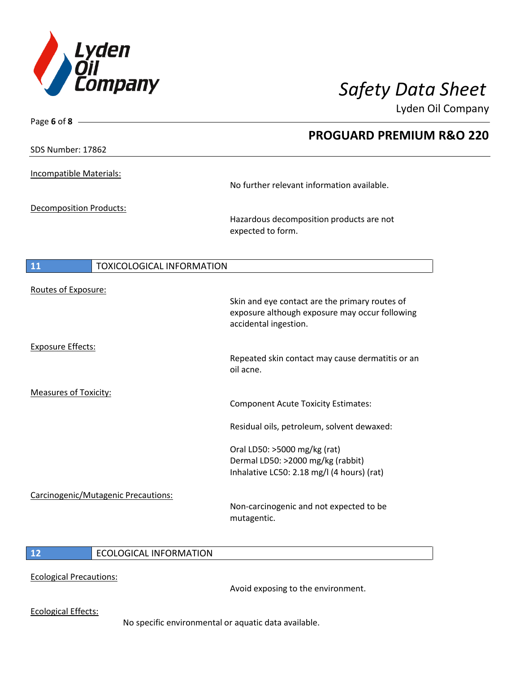

Lyden Oil Company

| Page 6 of 8 $-$                |                                     |                                                                                                                           |
|--------------------------------|-------------------------------------|---------------------------------------------------------------------------------------------------------------------------|
|                                |                                     | <b>PROGUARD PREMIUM R&amp;O 220</b>                                                                                       |
| SDS Number: 17862              |                                     |                                                                                                                           |
| <b>Incompatible Materials:</b> |                                     |                                                                                                                           |
|                                |                                     | No further relevant information available.                                                                                |
| <b>Decomposition Products:</b> |                                     |                                                                                                                           |
|                                |                                     | Hazardous decomposition products are not<br>expected to form.                                                             |
| <b>11</b>                      | <b>TOXICOLOGICAL INFORMATION</b>    |                                                                                                                           |
| Routes of Exposure:            |                                     |                                                                                                                           |
|                                |                                     | Skin and eye contact are the primary routes of<br>exposure although exposure may occur following<br>accidental ingestion. |
| <b>Exposure Effects:</b>       |                                     |                                                                                                                           |
|                                |                                     | Repeated skin contact may cause dermatitis or an<br>oil acne.                                                             |
| <b>Measures of Toxicity:</b>   |                                     |                                                                                                                           |
|                                |                                     | <b>Component Acute Toxicity Estimates:</b>                                                                                |
|                                |                                     | Residual oils, petroleum, solvent dewaxed:                                                                                |
|                                |                                     | Oral LD50: >5000 mg/kg (rat)                                                                                              |
|                                |                                     | Dermal LD50: >2000 mg/kg (rabbit)<br>Inhalative LC50: 2.18 mg/l (4 hours) (rat)                                           |
|                                | Carcinogenic/Mutagenic Precautions: |                                                                                                                           |
|                                |                                     | Non-carcinogenic and not expected to be<br>mutagentic.                                                                    |
|                                |                                     |                                                                                                                           |

#### **12** ECOLOGICAL INFORMATION

Ecological Precautions:

Avoid exposing to the environment.

Ecological Effects:

No specific environmental or aquatic data available.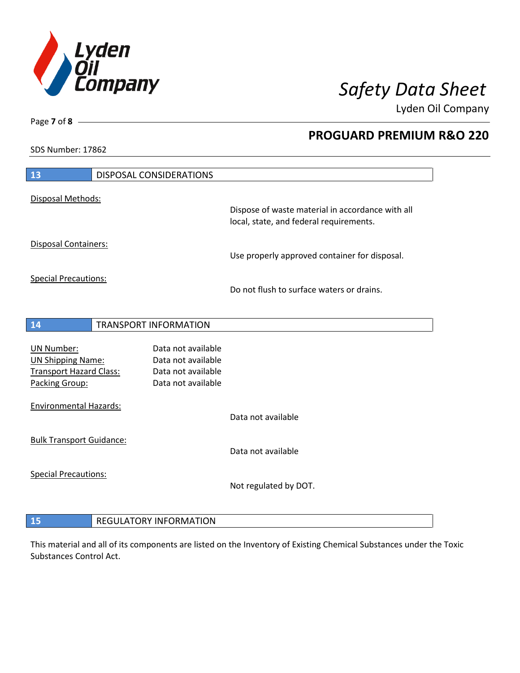

**PROGUARD PREMIUM R&O 220** 

Lyden Oil Company

SDS Number: 17862

Page **7** of **8**

| 13                                               | DISPOSAL CONSIDERATIONS                  |                                                                                             |
|--------------------------------------------------|------------------------------------------|---------------------------------------------------------------------------------------------|
| Disposal Methods:                                |                                          |                                                                                             |
|                                                  |                                          | Dispose of waste material in accordance with all<br>local, state, and federal requirements. |
| Disposal Containers:                             |                                          | Use properly approved container for disposal.                                               |
| <b>Special Precautions:</b>                      |                                          | Do not flush to surface waters or drains.                                                   |
| 14                                               | <b>TRANSPORT INFORMATION</b>             |                                                                                             |
| <b>UN Number:</b>                                | Data not available                       |                                                                                             |
| <b>UN Shipping Name:</b>                         | Data not available                       |                                                                                             |
| <b>Transport Hazard Class:</b><br>Packing Group: | Data not available<br>Data not available |                                                                                             |
| <b>Environmental Hazards:</b>                    |                                          |                                                                                             |
|                                                  |                                          | Data not available                                                                          |
| <b>Bulk Transport Guidance:</b>                  |                                          | Data not available                                                                          |
|                                                  |                                          |                                                                                             |
| <b>Special Precautions:</b>                      |                                          | Not regulated by DOT.                                                                       |
|                                                  |                                          |                                                                                             |
| 15                                               | <b>REGULATORY INFORMATION</b>            |                                                                                             |

This material and all of its components are listed on the Inventory of Existing Chemical Substances under the Toxic Substances Control Act.